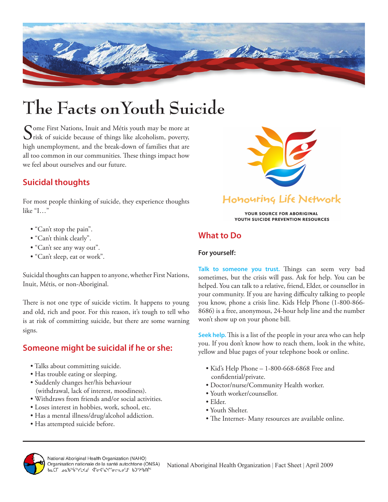

# **The Facts onYouth Suicide**

Some First Nations, Inuit and Métis youth may be more at risk of suicide because of things like alcoholism, poverty, high unemployment, and the break-down of families that are all too common in our communities. These things impact how we feel about ourselves and our future.



## Honouring Life Network

YOUR SOURCE FOR ABORIGINAL YOUTH SUICIDE PREVENTION RESOURCES

### **What to Do**

#### **For yourself:**

**Talk to someone you trust.** Things can seem very bad sometimes, but the crisis will pass. Ask for help. You can be helped. You can talk to a relative, friend, Elder, or counsellor in your community. If you are having difficulty talking to people you know, phone a crisis line. Kids Help Phone (1-800-866- 8686) is a free, anonymous, 24-hour help line and the number won't show up on your phone bill.

**Seek help.** This is a list of the people in your area who can help you. If you don't know how to reach them, look in the white, yellow and blue pages of your telephone book or online.

- Kid's Help Phone 1-800-668-6868 Free and confidential/private.
- Doctor/nurse/Community Health worker.
- Youth worker/counsellor.
- Elder.
- Youth Shelter.
- The Internet- Many resources are available online.



## **Suicidal thoughts**

For most people thinking of suicide, they experience thoughts like "I…"

- "Can't stop the pain".
- "Can't think clearly".
- "Can't see any way out".
- "Can't sleep, eat or work".

Suicidal thoughts can happen to anyone, whether First Nations, Inuit, Métis, or non-Aboriginal.

There is not one type of suicide victim. It happens to young and old, rich and poor. For this reason, it's tough to tell who is at risk of committing suicide, but there are some warning signs.

### **Someone might be suicidal if he or she:**

- Talks about committing suicide.
- Has trouble eating or sleeping.
- Suddenly changes her/his behaviour (withdrawal, lack of interest, moodiness).
- Withdraws from friends and/or social activities.
- Loses interest in hobbies, work, school, etc.
- Has a mental illness/drug/alcohol addiction.
- Has attempted suicide before.